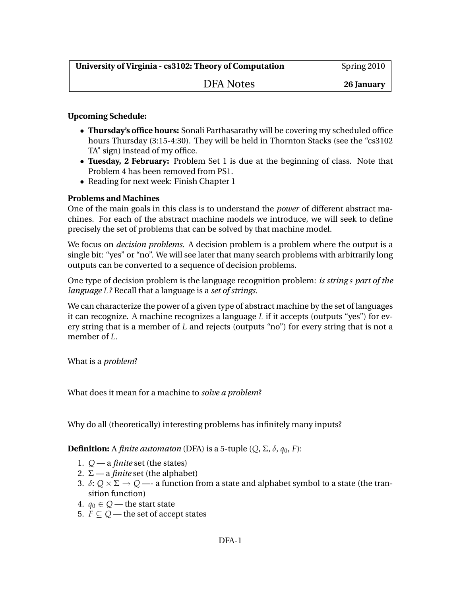## DFA Notes **26 January**

## **Upcoming Schedule:**

- **Thursday's office hours:** Sonali Parthasarathy will be covering my scheduled office hours Thursday (3:15-4:30). They will be held in Thornton Stacks (see the "cs3102 TA" sign) instead of my office.
- **Tuesday, 2 February:** Problem Set 1 is due at the beginning of class. Note that Problem 4 has been removed from PS1.
- Reading for next week: Finish Chapter 1

## **Problems and Machines**

One of the main goals in this class is to understand the *power* of different abstract machines. For each of the abstract machine models we introduce, we will seek to define precisely the set of problems that can be solved by that machine model.

We focus on *decision problems*. A decision problem is a problem where the output is a single bit: "yes" or "no". We will see later that many search problems with arbitrarily long outputs can be converted to a sequence of decision problems.

One type of decision problem is the language recognition problem: *is string s part of the language L?* Recall that a language is a *set of strings*.

We can characterize the power of a given type of abstract machine by the set of languages it can recognize. A machine recognizes a language *L* if it accepts (outputs "yes") for every string that is a member of *L* and rejects (outputs "no") for every string that is not a member of *L*.

What is a *problem*?

What does it mean for a machine to *solve a problem*?

Why do all (theoretically) interesting problems has infinitely many inputs?

**Definition:** A *finite automaton* (DFA) is a 5-tuple  $(Q, \Sigma, \delta, q_0, F)$ :

- 1. *Q* a *finite* set (the states)
- 2.  $\Sigma$  a *finite* set (the alphabet)
- 3.  $\delta: Q \times \Sigma \rightarrow Q$  —- a function from a state and alphabet symbol to a state (the transition function)
- 4.  $q_0 \in Q$  the start state
- 5.  $F \subseteq Q$  the set of accept states